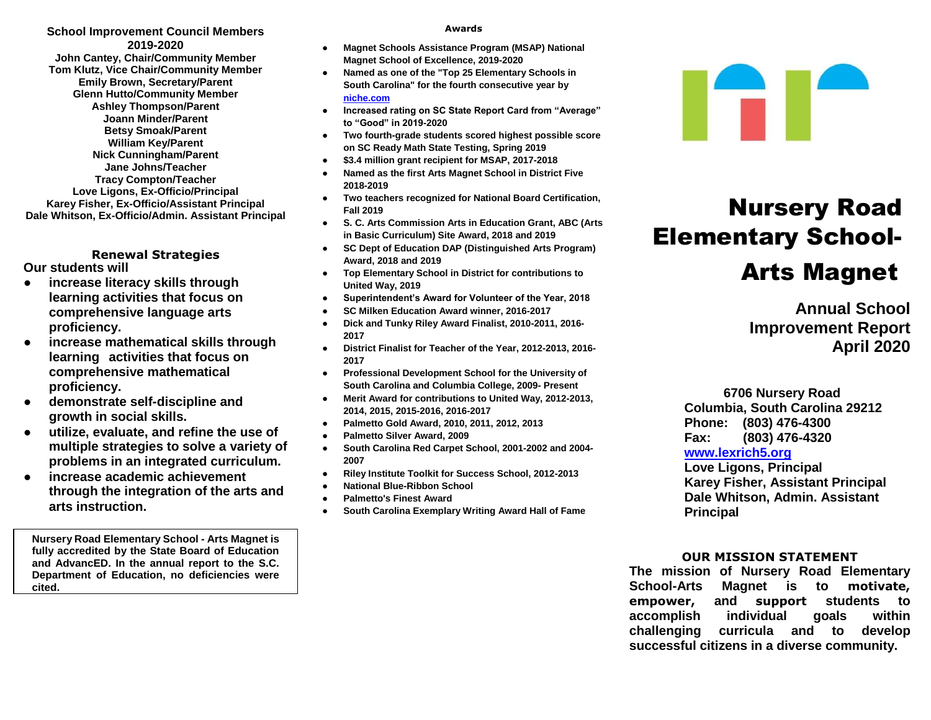**School Improvement Council Members 2019-2020 John Cantey, Chair/Community Member Tom Klutz, Vice Chair/Community Member Emily Brown, Secretary/Parent Glenn Hutto/Community Member Ashley Thompson/Parent Joann Minder/Parent Betsy Smoak/Parent William Key/Parent Nick Cunningham/Parent Jane Johns/Teacher Tracy Compton/Teacher Love Ligons, Ex-Officio/Principal Karey Fisher, Ex-Officio/Assistant Principal Dale Whitson, Ex-Officio/Admin. Assistant Principal**

**Renewal Strategies Our students will**

- **● increase literacy skills through learning activities that focus on comprehensive language arts proficiency.**
- **● increase mathematical skills through learning activities that focus on comprehensive mathematical proficiency.**
- **● demonstrate self-discipline and growth in social skills.**
- **● utilize, evaluate, and refine the use of multiple strategies to solve a variety of problems in an integrated curriculum.**
- **● increase academic achievement through the integration of the arts and arts instruction.**

**Nursery Road Elementary School - Arts Magnet is fully accredited by the State Board of Education and AdvancED. In the annual report to the S.C. Department of Education, no deficiencies were cited.**

#### **Awards**

- **Magnet Schools Assistance Program (MSAP) National Magnet School of Excellence, 2019-2020**
- **Named as one of the "Top 25 Elementary Schools in South Carolina" for the fourth consecutive year by [niche.com](http://niche.com/)**
- **Increased rating on SC State Report Card from "Average" to "Good" in 2019-2020**
- **Two fourth-grade students scored highest possible score on SC Ready Math State Testing, Spring 2019**
- **\$3.4 million grant recipient for MSAP, 2017-2018**
- **Named as the first Arts Magnet School in District Five 2018-2019**
- **Two teachers recognized for National Board Certification, Fall 2019**
- **S. C. Arts Commission Arts in Education Grant, ABC (Arts in Basic Curriculum) Site Award, 2018 and 2019**
- **SC Dept of Education DAP (Distinguished Arts Program) Award, 2018 and 2019**
- **Top Elementary School in District for contributions to United Way, 2019**
- **Superintendent's Award for Volunteer of the Year, 2018**
- **SC Milken Education Award winner, 2016-2017**
- **Dick and Tunky Riley Award Finalist, 2010-2011, 2016- 2017**
- **District Finalist for Teacher of the Year, 2012-2013, 2016- 2017**
- **Professional Development School for the University of South Carolina and Columbia College, 2009- Present**
- **Merit Award for contributions to United Way, 2012-2013, 2014, 2015, 2015-2016, 2016-2017**
- **Palmetto Gold Award, 2010, 2011, 2012, 2013**
- **Palmetto Silver Award, 2009**
- **South Carolina Red Carpet School, 2001-2002 and 2004- 2007**
- **Riley Institute Toolkit for Success School, 2012-2013**
- **National Blue-Ribbon School**
- **Palmetto's Finest Award**
- **South Carolina Exemplary Writing Award Hall of Fame**



# Nursery Road Elementary School-Arts Magnet

**Annual School Improvement Report April 2020**

 **6706 Nursery Road Columbia, South Carolina 29212 Phone: (803) 476-4300 Fax: (803) 476-4320** 

## **[www.lexrich5.org](http://www.lexrich5.org/)**

**Love Ligons, Principal Karey Fisher, Assistant Principal Dale Whitson, Admin. Assistant Principal**

### **OUR MISSION STATEMENT**

**The mission of Nursery Road Elementary School-Arts Magnet is to motivate, empower, and support students to accomplish individual goals within challenging curricula and to develop successful citizens in a diverse community.**